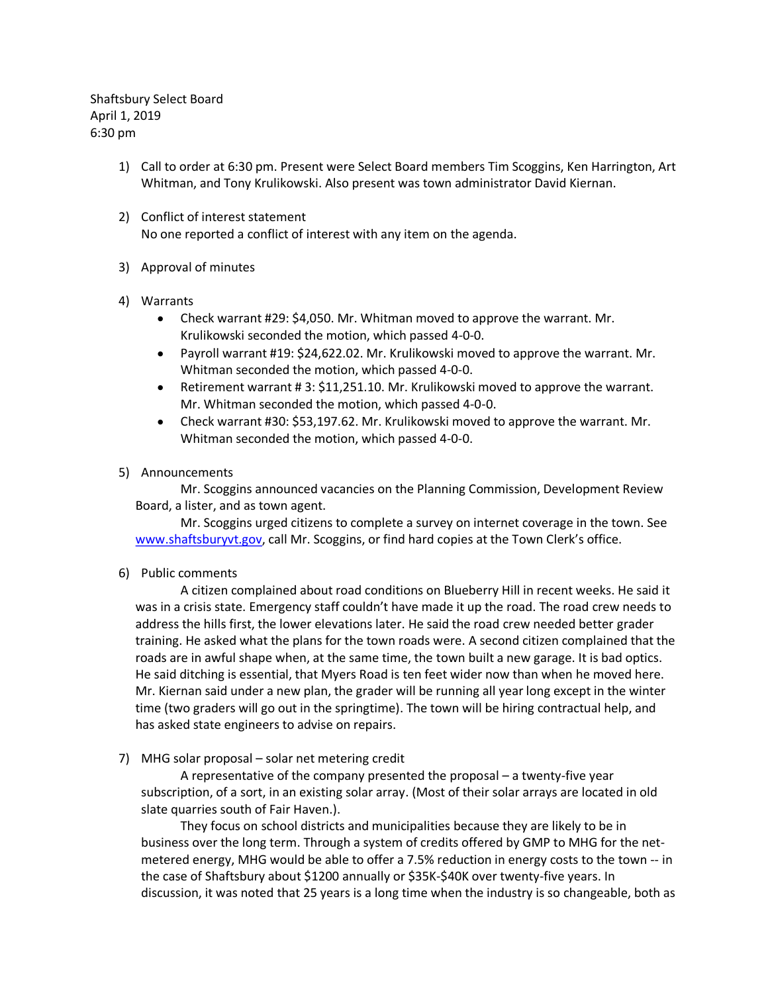Shaftsbury Select Board April 1, 2019 6:30 pm

- 1) Call to order at 6:30 pm. Present were Select Board members Tim Scoggins, Ken Harrington, Art Whitman, and Tony Krulikowski. Also present was town administrator David Kiernan.
- 2) Conflict of interest statement No one reported a conflict of interest with any item on the agenda.
- 3) Approval of minutes
- 4) Warrants
	- Check warrant #29: \$4,050. Mr. Whitman moved to approve the warrant. Mr. Krulikowski seconded the motion, which passed 4-0-0.
	- Payroll warrant #19: \$24,622.02. Mr. Krulikowski moved to approve the warrant. Mr. Whitman seconded the motion, which passed 4-0-0.
	- Retirement warrant # 3: \$11,251.10. Mr. Krulikowski moved to approve the warrant. Mr. Whitman seconded the motion, which passed 4-0-0.
	- Check warrant #30: \$53,197.62. Mr. Krulikowski moved to approve the warrant. Mr. Whitman seconded the motion, which passed 4-0-0.
- 5) Announcements

Mr. Scoggins announced vacancies on the Planning Commission, Development Review Board, a lister, and as town agent.

Mr. Scoggins urged citizens to complete a survey on internet coverage in the town. See [www.shaftsburyvt.gov](http://www.shaftsburyvt.gov/), call Mr. Scoggins, or find hard copies at the Town Clerk's office.

6) Public comments

A citizen complained about road conditions on Blueberry Hill in recent weeks. He said it was in a crisis state. Emergency staff couldn't have made it up the road. The road crew needs to address the hills first, the lower elevations later. He said the road crew needed better grader training. He asked what the plans for the town roads were. A second citizen complained that the roads are in awful shape when, at the same time, the town built a new garage. It is bad optics. He said ditching is essential, that Myers Road is ten feet wider now than when he moved here. Mr. Kiernan said under a new plan, the grader will be running all year long except in the winter time (two graders will go out in the springtime). The town will be hiring contractual help, and has asked state engineers to advise on repairs.

7) MHG solar proposal – solar net metering credit

A representative of the company presented the proposal – a twenty-five year subscription, of a sort, in an existing solar array. (Most of their solar arrays are located in old slate quarries south of Fair Haven.).

They focus on school districts and municipalities because they are likely to be in business over the long term. Through a system of credits offered by GMP to MHG for the netmetered energy, MHG would be able to offer a 7.5% reduction in energy costs to the town -- in the case of Shaftsbury about \$1200 annually or \$35K-\$40K over twenty-five years. In discussion, it was noted that 25 years is a long time when the industry is so changeable, both as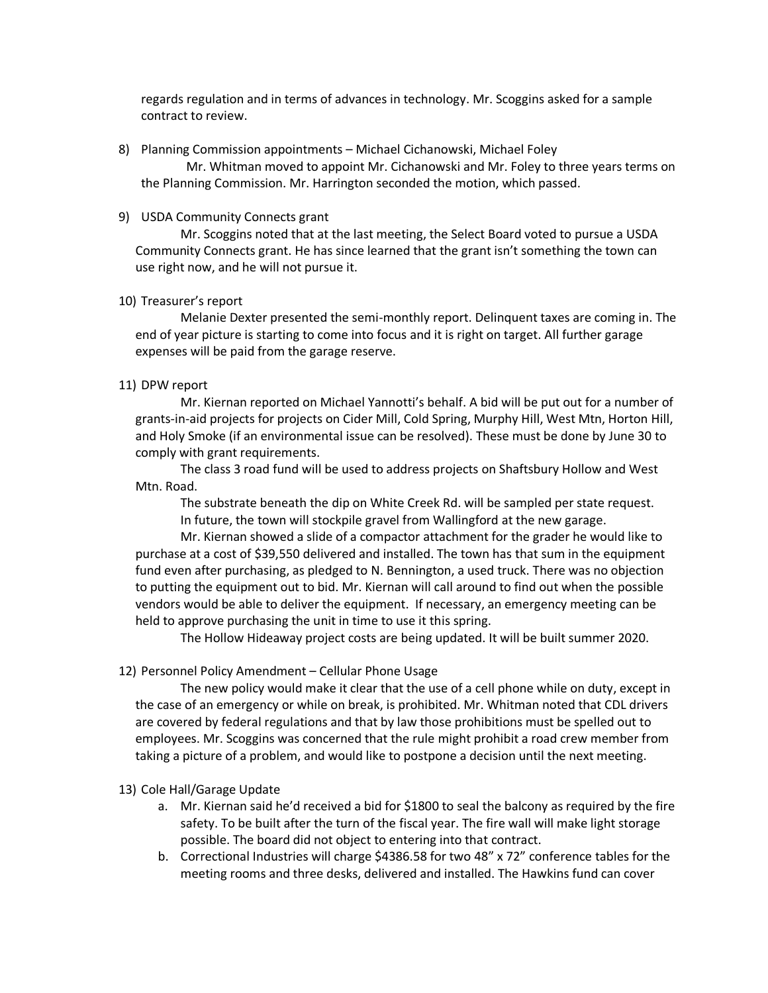regards regulation and in terms of advances in technology. Mr. Scoggins asked for a sample contract to review.

8) Planning Commission appointments – Michael Cichanowski, Michael Foley

Mr. Whitman moved to appoint Mr. Cichanowski and Mr. Foley to three years terms on the Planning Commission. Mr. Harrington seconded the motion, which passed.

### 9) USDA Community Connects grant

Mr. Scoggins noted that at the last meeting, the Select Board voted to pursue a USDA Community Connects grant. He has since learned that the grant isn't something the town can use right now, and he will not pursue it.

### 10) Treasurer's report

Melanie Dexter presented the semi-monthly report. Delinquent taxes are coming in. The end of year picture is starting to come into focus and it is right on target. All further garage expenses will be paid from the garage reserve.

## 11) DPW report

Mr. Kiernan reported on Michael Yannotti's behalf. A bid will be put out for a number of grants-in-aid projects for projects on Cider Mill, Cold Spring, Murphy Hill, West Mtn, Horton Hill, and Holy Smoke (if an environmental issue can be resolved). These must be done by June 30 to comply with grant requirements.

The class 3 road fund will be used to address projects on Shaftsbury Hollow and West Mtn. Road.

The substrate beneath the dip on White Creek Rd. will be sampled per state request. In future, the town will stockpile gravel from Wallingford at the new garage.

Mr. Kiernan showed a slide of a compactor attachment for the grader he would like to purchase at a cost of \$39,550 delivered and installed. The town has that sum in the equipment fund even after purchasing, as pledged to N. Bennington, a used truck. There was no objection to putting the equipment out to bid. Mr. Kiernan will call around to find out when the possible vendors would be able to deliver the equipment. If necessary, an emergency meeting can be held to approve purchasing the unit in time to use it this spring.

The Hollow Hideaway project costs are being updated. It will be built summer 2020.

# 12) Personnel Policy Amendment – Cellular Phone Usage

The new policy would make it clear that the use of a cell phone while on duty, except in the case of an emergency or while on break, is prohibited. Mr. Whitman noted that CDL drivers are covered by federal regulations and that by law those prohibitions must be spelled out to employees. Mr. Scoggins was concerned that the rule might prohibit a road crew member from taking a picture of a problem, and would like to postpone a decision until the next meeting.

### 13) Cole Hall/Garage Update

- a. Mr. Kiernan said he'd received a bid for \$1800 to seal the balcony as required by the fire safety. To be built after the turn of the fiscal year. The fire wall will make light storage possible. The board did not object to entering into that contract.
- b. Correctional Industries will charge \$4386.58 for two 48" x 72" conference tables for the meeting rooms and three desks, delivered and installed. The Hawkins fund can cover